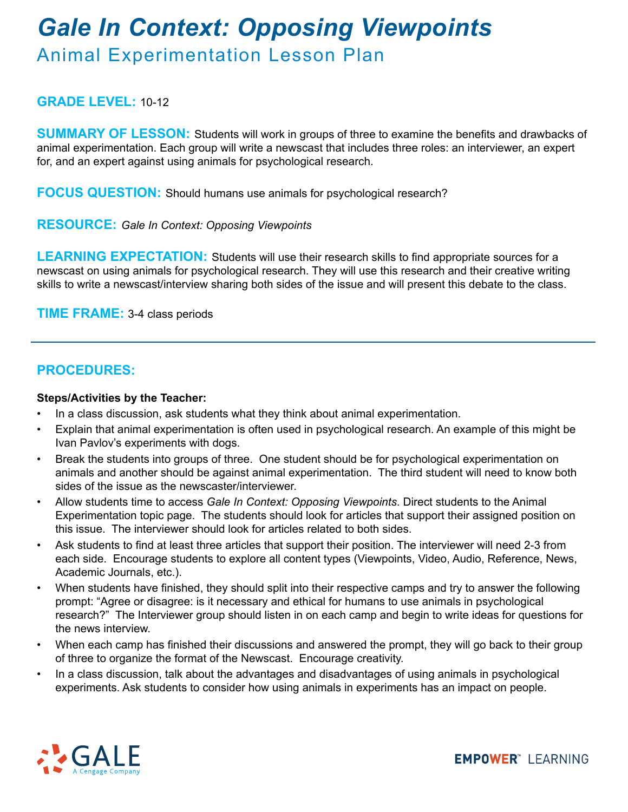# *Gale In Context: Opposing Viewpoints*

### Animal Experimentation Lesson Plan

### **GRADE LEVEL:** 10-12

**SUMMARY OF LESSON:** Students will work in groups of three to examine the benefits and drawbacks of animal experimentation. Each group will write a newscast that includes three roles: an interviewer, an expert for, and an expert against using animals for psychological research.

**FOCUS QUESTION:** Should humans use animals for psychological research?

**RESOURCE:** *Gale In Context: Opposing Viewpoints*

**LEARNING EXPECTATION:** Students will use their research skills to find appropriate sources for a newscast on using animals for psychological research. They will use this research and their creative writing skills to write a newscast/interview sharing both sides of the issue and will present this debate to the class.

**TIME FRAME:** 3-4 class periods

### **PROCEDURES:**

#### **Steps/Activities by the Teacher:**

- In a class discussion, ask students what they think about animal experimentation.
- Explain that animal experimentation is often used in psychological research. An example of this might be Ivan Pavlov's experiments with dogs.
- Break the students into groups of three. One student should be for psychological experimentation on animals and another should be against animal experimentation. The third student will need to know both sides of the issue as the newscaster/interviewer.
- Allow students time to access *Gale In Context: Opposing Viewpoints*. Direct students to the Animal Experimentation topic page. The students should look for articles that support their assigned position on this issue. The interviewer should look for articles related to both sides.
- Ask students to find at least three articles that support their position. The interviewer will need 2-3 from each side. Encourage students to explore all content types (Viewpoints, Video, Audio, Reference, News, Academic Journals, etc.).
- When students have finished, they should split into their respective camps and try to answer the following prompt: "Agree or disagree: is it necessary and ethical for humans to use animals in psychological research?" The Interviewer group should listen in on each camp and begin to write ideas for questions for the news interview.
- When each camp has finished their discussions and answered the prompt, they will go back to their group of three to organize the format of the Newscast. Encourage creativity.
- In a class discussion, talk about the advantages and disadvantages of using animals in psychological experiments. Ask students to consider how using animals in experiments has an impact on people.



**EMPOWER**" LEARNING